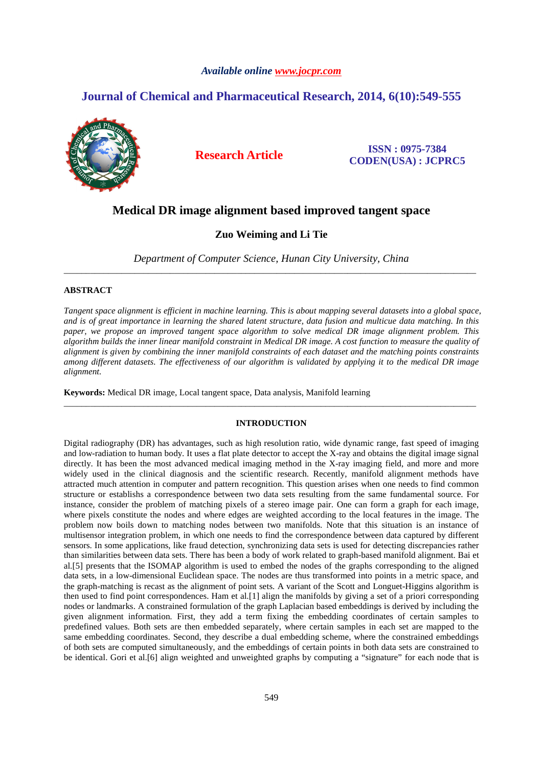## *Available online www.jocpr.com*

# **Journal of Chemical and Pharmaceutical Research, 2014, 6(10):549-555**



**Research Article ISSN : 0975-7384 CODEN(USA) : JCPRC5**

# **Medical DR image alignment based improved tangent space**

# **Zuo Weiming and Li Tie**

*Department of Computer Science, Hunan City University, China*  \_\_\_\_\_\_\_\_\_\_\_\_\_\_\_\_\_\_\_\_\_\_\_\_\_\_\_\_\_\_\_\_\_\_\_\_\_\_\_\_\_\_\_\_\_\_\_\_\_\_\_\_\_\_\_\_\_\_\_\_\_\_\_\_\_\_\_\_\_\_\_\_\_\_\_\_\_\_\_\_\_\_\_\_\_\_\_\_\_\_\_\_\_

### **ABSTRACT**

*Tangent space alignment is efficient in machine learning. This is about mapping several datasets into a global space, and is of great importance in learning the shared latent structure, data fusion and multicue data matching. In this paper, we propose an improved tangent space algorithm to solve medical DR image alignment problem. This algorithm builds the inner linear manifold constraint in Medical DR image. A cost function to measure the quality of alignment is given by combining the inner manifold constraints of each dataset and the matching points constraints among different datasets. The effectiveness of our algorithm is validated by applying it to the medical DR image alignment.* 

**Keywords:** Medical DR image, Local tangent space, Data analysis, Manifold learning

## **INTRODUCTION**

\_\_\_\_\_\_\_\_\_\_\_\_\_\_\_\_\_\_\_\_\_\_\_\_\_\_\_\_\_\_\_\_\_\_\_\_\_\_\_\_\_\_\_\_\_\_\_\_\_\_\_\_\_\_\_\_\_\_\_\_\_\_\_\_\_\_\_\_\_\_\_\_\_\_\_\_\_\_\_\_\_\_\_\_\_\_\_\_\_\_\_\_\_

Digital radiography (DR) has advantages, such as high resolution ratio, wide dynamic range, fast speed of imaging and low-radiation to human body. It uses a flat plate detector to accept the X-ray and obtains the digital image signal directly. It has been the most advanced medical imaging method in the X-ray imaging field, and more and more widely used in the clinical diagnosis and the scientific research. Recently, manifold alignment methods have attracted much attention in computer and pattern recognition. This question arises when one needs to find common structure or establishs a correspondence between two data sets resulting from the same fundamental source. For instance, consider the problem of matching pixels of a stereo image pair. One can form a graph for each image, where pixels constitute the nodes and where edges are weighted according to the local features in the image. The problem now boils down to matching nodes between two manifolds. Note that this situation is an instance of multisensor integration problem, in which one needs to find the correspondence between data captured by different sensors. In some applications, like fraud detection, synchronizing data sets is used for detecting discrepancies rather than similarities between data sets. There has been a body of work related to graph-based manifold alignment. Bai et al.[5] presents that the ISOMAP algorithm is used to embed the nodes of the graphs corresponding to the aligned data sets, in a low-dimensional Euclidean space. The nodes are thus transformed into points in a metric space, and the graph-matching is recast as the alignment of point sets. A variant of the Scott and Longuet-Higgins algorithm is then used to find point correspondences. Ham et al.[1] align the manifolds by giving a set of a priori corresponding nodes or landmarks. A constrained formulation of the graph Laplacian based embeddings is derived by including the given alignment information. First, they add a term fixing the embedding coordinates of certain samples to predefined values. Both sets are then embedded separately, where certain samples in each set are mapped to the same embedding coordinates. Second, they describe a dual embedding scheme, where the constrained embeddings of both sets are computed simultaneously, and the embeddings of certain points in both data sets are constrained to be identical. Gori et al.[6] align weighted and unweighted graphs by computing a "signature" for each node that is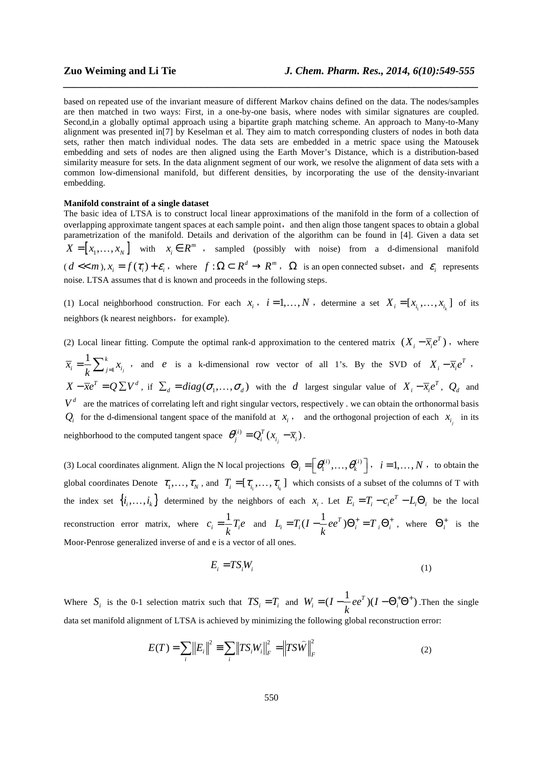based on repeated use of the invariant measure of different Markov chains defined on the data. The nodes/samples are then matched in two ways: First, in a one-by-one basis, where nodes with similar signatures are coupled. Second,in a globally optimal approach using a bipartite graph matching scheme. An approach to Many-to-Many alignment was presented in[7] by Keselman et al. They aim to match corresponding clusters of nodes in both data sets, rather then match individual nodes. The data sets are embedded in a metric space using the Matousek embedding and sets of nodes are then aligned using the Earth Mover's Distance, which is a distribution-based similarity measure for sets. In the data alignment segment of our work, we resolve the alignment of data sets with a common low-dimensional manifold, but different densities, by incorporating the use of the density-invariant embedding.

*\_\_\_\_\_\_\_\_\_\_\_\_\_\_\_\_\_\_\_\_\_\_\_\_\_\_\_\_\_\_\_\_\_\_\_\_\_\_\_\_\_\_\_\_\_\_\_\_\_\_\_\_\_\_\_\_\_\_\_\_\_\_\_\_\_\_\_\_\_\_\_\_\_\_\_\_\_\_*

#### **Manifold constraint of a single dataset**

The basic idea of LTSA is to construct local linear approximations of the manifold in the form of a collection of overlapping approximate tangent spaces at each sample point, and then align those tangent spaces to obtain a global parametrization of the manifold. Details and derivation of the algorithm can be found in [4]. Given a data set  $X = [x_1, \dots, x_N]$  with  $x_i \in R^m$ , sampled (possibly with noise) from a d-dimensional manifold  $(d \ll m), x_i = f(\tau_i) + \varepsilon_i$ , where  $f: \Omega \subset R^d \to R^m$ ,  $\Omega$  is an open connected subset, and  $\varepsilon_i$  represents noise. LTSA assumes that d is known and proceeds in the following steps.

(1) Local neighborhood construction. For each  $x_i$ ,  $i = 1, ..., N$ , determine a set  $X_i = [x_{i_1}, ..., x_{i_k}]$  of its neighbors (k nearest neighbors, for example).

(2) Local linear fitting. Compute the optimal rank-d approximation to the centered matrix  $(X_i - \overline{x}_i e^T)$ , where 1 1 *j k*  $\overline{x}_i = \frac{1}{k} \sum_{j=1}^k x_i$  $=\frac{1}{k}\sum_{j=1}^{k}x_{i_j}$ , and *e* is a k-dimensional row vector of all 1's. By the SVD of  $X_i - \overline{x}_i e^T$ ,  $X - \overline{x}e^T = Q \sum V^d$ , if  $\sum_d = diag(\sigma_1, ..., \sigma_d)$  with the *d* largest singular value of  $X_i - \overline{x_i}e^T$ ,  $Q_d$  and  $V<sup>d</sup>$  are the matrices of correlating left and right singular vectors, respectively . we can obtain the orthonormal basis  $Q_i$  for the d-dimensional tangent space of the manifold at  $x_i$ , and the orthogonal projection of each  $x_{i_j}$  in its neighborhood to the computed tangent space  $\theta_j^{(i)} = Q_i^T (x_{i_j} - \overline{x}_i)$ .

(3) Local coordinates alignment. Align the N local projections  $\Theta_i = \left[ \theta_1^{(i)}, \dots, \theta_k^{(i)} \right]$ ,  $i = 1, \dots, N$ , to obtain the global coordinates Denote  $\tau_1, \ldots, \tau_N$ , and  $T_i = [\tau_{i_1}, \ldots, \tau_{i_k}]$  which consists of a subset of the columns of T with the index set  $\{i_1, \ldots, i_k\}$  determined by the neighbors of each  $x_i$ . Let  $E_i = T_i - c_i e^T - L_i \Theta_i$  be the local reconstruction error matrix, where  $c_i = \frac{1}{k}T_i e$  $=\frac{1}{k}T_i e$  and  $L_i = T_i(I - \frac{1}{k}ee^T)\Theta_i^+ = T_i\Theta_i^+$ , where  $\Theta_i^+$  is the Moor-Penrose generalized inverse of and e is a vector of all ones.

$$
E_i = TS_i W_i \tag{1}
$$

Where  $S_i$  is the 0-1 selection matrix such that  $TS_i = T_i$  and  $W_i = (I - \frac{1}{k}ee^T)(I - \Theta_i^+ \Theta^+)$ . Then the single data set manifold alignment of LTSA is achieved by minimizing the following global reconstruction error:

$$
E(T) = \sum_{i} ||E_{i}||^{2} \equiv \sum_{i} ||TS_{i}W_{i}||_{F}^{2} = ||TS\widehat{W}||_{F}^{2}
$$
 (2)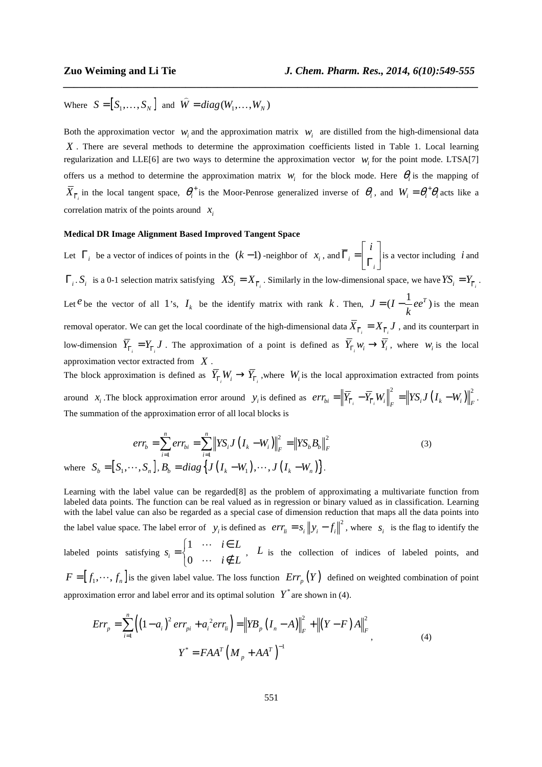Where  $S = [S_1, \dots, S_N]$  and  $\hat{W} = diag(W_1, \dots, W_N)$  $\overline{a}$  $\cdots$ 

Both the approximation vector  $w_i$  and the approximation matrix  $w_i$  are distilled from the high-dimensional data X. There are several methods to determine the approximation coefficients listed in Table 1. Local learning regularization and LLE[6] are two ways to determine the approximation vector  $w_i$  for the point mode. LTSA[7] offers us a method to determine the approximation matrix  $w_i$  for the block mode. Here  $\theta_i$  is the mapping of  $\overline{X}_{\overline{\Gamma}_i}$  in the local tangent space,  $\theta_i^+$  is the Moor-Penrose generalized inverse of  $\theta_i$ , and  $W_i = \theta_i^+ \theta_i$  acts like a correlation matrix of the points around  $x_i$ 

*\_\_\_\_\_\_\_\_\_\_\_\_\_\_\_\_\_\_\_\_\_\_\_\_\_\_\_\_\_\_\_\_\_\_\_\_\_\_\_\_\_\_\_\_\_\_\_\_\_\_\_\_\_\_\_\_\_\_\_\_\_\_\_\_\_\_\_\_\_\_\_\_\_\_\_\_\_\_*

#### **Medical DR Image Alignment Based Improved Tangent Space**

Let  $\Gamma_i$  be a vector of indices of points in the  $(k-1)$  -neighbor of  $x_i$ , and  $\Gamma_i$ *i*  $\lceil i \rceil$  $\Gamma_i = \begin{bmatrix} \Gamma_i \end{bmatrix}$  is a vector including *i* and  $\Gamma_i$ .  $S_i$  is a 0-1 selection matrix satisfying  $XS_i = X_{\overline{\Gamma}_i}$ . Similarly in the low-dimensional space, we have  $YS_i = Y_{\overline{\Gamma}_i}$ . Let <sup>*e*</sup> be the vector of all 1's,  $I_k$  be the identify matrix with rank *k*. Then,  $J = (I - \frac{1}{L}ee^T)$ *k*  $=(I - \frac{1}{I}ee^{T})$  is the mean removal operator. We can get the local coordinate of the high-dimensional data  $X_{\overline{\Gamma}_i} = X_{\overline{\Gamma}_i} J$ , and its counterpart in low-dimension  $Y_{\overline{\Gamma}_i} = Y_{\overline{\Gamma}_i} J$ . The approximation of a point is defined as  $Y_{\Gamma_i} w_i \to Y_i$ , where  $w_i$  is the local approximation vector extracted from *X* .

The block approximation is defined as  $Y_{\overline{\Gamma}_i} W_i \to Y_{\overline{\Gamma}_i}$ , where  $W_i$  is the local approximation extracted from points around *x<sub>i</sub>*. The block approximation error around *y<sub>i</sub>* is defined as  $err_{bi} = \left\| \overline{Y}_{\overline{\Gamma}_i} - \overline{Y}_{\overline{\Gamma}_i} W_i \right\|_F^2 = \left\| \overline{YS}_i J \left( I_k - W_i \right) \right\|_F^2$ . The summation of the approximation error of all local blocks is

$$
err_b = \sum_{i=1}^{n} err_{bi} = \sum_{i=1}^{n} \|YS_i J(I_k - W_i)\|_F^2 = \|YS_b B_b\|_F^2
$$
  
\nwhere  $S_b = [S_1, \dots, S_n], B_b = diag\{J(I_k - W_1), \dots, J(I_k - W_n)\}.$  (3)

Learning with the label value can be regarded[8] as the problem of approximating a multivariate function from labeled data points. The function can be real valued as in regression or binary valued as in classification. Learning with the label value can also be regarded as a special case of dimension reduction that maps all the data points into the label value space. The label error of  $y_i$  is defined as  $err_{li} = s_i ||y_i - f_i||^2$ , where  $s_i$  is the flag to identify the labeled points satisfying 1  $\binom{i}{0}$  $i \in L$ *s*  $i \notin L$  $\begin{bmatrix} 1 & \cdots & i \in \end{bmatrix}$  $=\{$  $\begin{pmatrix} 0 & \cdots & i \notin \end{pmatrix}$  $\ldots$  $\begin{cases} \begin{array}{c} \cdots \\ \downarrow \in L \end{array} \\ \cdots \\ \begin{array}{c} \downarrow \in L \end{array} \end{cases}$ , *L* is the collection of indices of labeled points, and

 $F = [f_1, \dots, f_n]$  is the given label value. The loss function  $Err_p(Y)$  defined on weighted combination of point approximation error and label error and its optimal solution  $Y^*$  are shown in (4).

$$
Err_{p} = \sum_{i=1}^{n} \left( \left( 1 - a_{i} \right)^{2} err_{pi} + a_{i}^{2} err_{li} \right) = \left\| YB_{p} \left( I_{n} - A \right) \right\|_{F}^{2} + \left\| \left( Y - F \right) A \right\|_{F}^{2},
$$
\n
$$
Y^{*} = FAA^{T} \left( M_{p} + AA^{T} \right)^{-1}
$$
\n(4)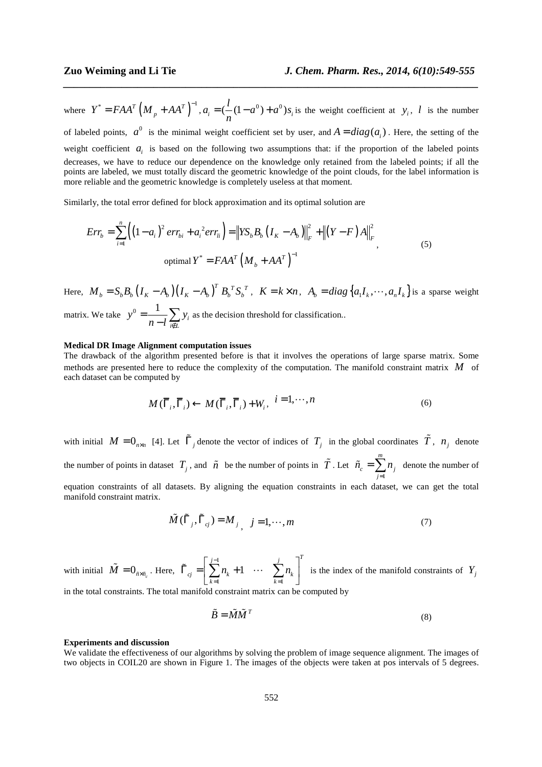where  $Y^* = FAA^T \left( M_p + AA^T \right)^{-1}, a_i = (\frac{l}{2} (1 - a^0) + a^0) s_i$  $=$   $\left(\frac{V}{n}(1-a^0) + a^0\right) s_i$  is the weight coefficient at *y<sub>i</sub>*, *l* is the number of labeled points,  $a^0$  is the minimal weight coefficient set by user, and  $A = diag(a_i)$ . Here, the setting of the weight coefficient  $a_i$  is based on the following two assumptions that: if the proportion of the labeled points decreases, we have to reduce our dependence on the knowledge only retained from the labeled points; if all the points are labeled, we must totally discard the geometric knowledge of the point clouds, for the label information is more reliable and the geometric knowledge is completely useless at that moment.

*\_\_\_\_\_\_\_\_\_\_\_\_\_\_\_\_\_\_\_\_\_\_\_\_\_\_\_\_\_\_\_\_\_\_\_\_\_\_\_\_\_\_\_\_\_\_\_\_\_\_\_\_\_\_\_\_\_\_\_\_\_\_\_\_\_\_\_\_\_\_\_\_\_\_\_\_\_\_*

Similarly, the total error defined for block approximation and its optimal solution are

$$
Err_b = \sum_{i=1}^{n} \left( \left( 1 - a_i \right)^2 err_{bi} + a_i^2 err_{li} \right) = \left\| YS_b B_b \left( I_K - A_b \right) \right\|_F^2 + \left\| \left( Y - F \right) A \right\|_F^2,
$$
\n
$$
\text{optimal } Y^* = FAA^T \left( M_b + AA^T \right)^{-1}
$$
\n
$$
(5)
$$

Here,  $M_b = S_b B_b (I_K - A_b) (I_K - A_b)^T B_b^T S_b^T$ ,  $K = k \times n$ ,  $A_b = diag\{a_1 I_k, \dots, a_n I_k\}$  is a sparse weight matrix. We take  $y^0 = \frac{1}{y} \sum y_i$  $y^0 = \frac{1}{\sqrt{2}} \sum y$  $n-l \frac{\sum_{i \in \mathbb{N}}}{n}$ =  $\frac{1}{-l} \sum_{i \in L} y_i$  as the decision threshold for classification..

#### **Medical DR Image Alignment computation issues**

*i∉ L* 

The drawback of the algorithm presented before is that it involves the operations of large sparse matrix. Some methods are presented here to reduce the complexity of the computation. The manifold constraint matrix *M* of each dataset can be computed by

$$
M(\overline{\Gamma}_i, \overline{\Gamma}_i) \leftarrow M(\overline{\Gamma}_i, \overline{\Gamma}_i) + W_i, \quad i = 1, \cdots, n
$$
\n<sup>(6)</sup>

with initial  $M = 0_{n \times n}$  [4]. Let  $\tilde{\Gamma}_j$  denote the vector of indices of  $T_j$  in the global coordinates  $\tilde{T}$ ,  $n_j$  denote the number of points in dataset  $T_j$ , and  $\tilde{n}$  be the number of points in  $\tilde{T}$ . Let 1 *m*  $c = \sum_i n_i$ *j*  $\tilde{n}_{c} = \sum n$ =  $\tilde{n}_c = \sum_{j=1}^{m} n_j$  denote the number of equation constraints of all datasets. By aligning the equation constraints in each dataset, we can get the total manifold constraint matrix.

$$
\tilde{M}(\tilde{\Gamma}_j, \tilde{\Gamma}_{cj}) = M_{j}, \quad j = 1, \cdots, m
$$
\n(7)

with initial  $\tilde{M} = 0_{\tilde{n} \times \tilde{n}_c}$ . Here, 1  $k=1$ 1  $j-1$   $j$   $T$  $c_j$   $\Box$   $\Box$   $\mu_k$   $\Box$   $\Box$   $\Box$   $\mu_k$  $k=1$  k  $n_{k}+1 \quad \cdots \quad \sum n$ −  $\tilde{\Gamma}_{cj} = \left[ \sum_{k=1}^{j-1} n_k + 1 \cdots \sum_{k=1}^{j} n_k \right]^T$  is the index of the manifold constraints of  $Y_j$ 

in the total constraints. The total manifold constraint matrix can be computed by

$$
\tilde{B} = \tilde{M}\tilde{M}^T \tag{8}
$$

#### **Experiments and discussion**

We validate the effectiveness of our algorithms by solving the problem of image sequence alignment. The images of two objects in COIL20 are shown in Figure 1. The images of the objects were taken at pos intervals of 5 degrees.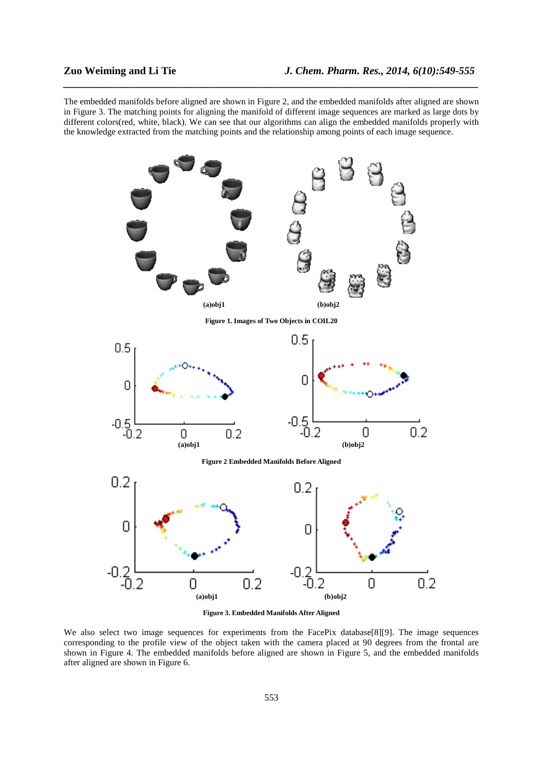The embedded manifolds before aligned are shown in Figure 2, and the embedded manifolds after aligned are shown in Figure 3. The matching points for aligning the manifold of different image sequences are marked as large dots by different colors(red, white, black). We can see that our algorithms can align the embedded manifolds properly with the knowledge extracted from the matching points and the relationship among points of each image sequence.

*\_\_\_\_\_\_\_\_\_\_\_\_\_\_\_\_\_\_\_\_\_\_\_\_\_\_\_\_\_\_\_\_\_\_\_\_\_\_\_\_\_\_\_\_\_\_\_\_\_\_\_\_\_\_\_\_\_\_\_\_\_\_\_\_\_\_\_\_\_\_\_\_\_\_\_\_\_\_*



**Figure 3. Embedded Manifolds After Aligned** 

We also select two image sequences for experiments from the FacePix database[8][9]. The image sequences corresponding to the profile view of the object taken with the camera placed at 90 degrees from the frontal are shown in Figure 4. The embedded manifolds before aligned are shown in Figure 5, and the embedded manifolds after aligned are shown in Figure 6.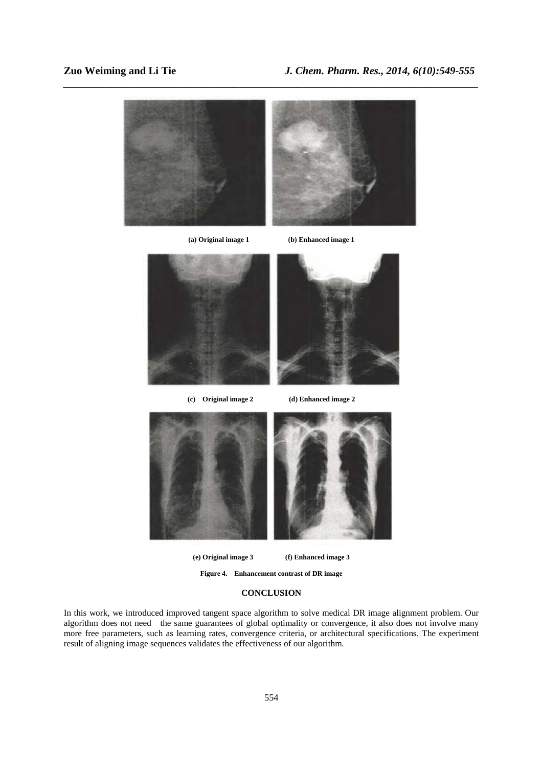

**(e) Original image 3 (f) Enhanced image 3** 

**Figure 4. Enhancement contrast of DR image** 

## **CONCLUSION**

In this work, we introduced improved tangent space algorithm to solve medical DR image alignment problem. Our algorithm does not need the same guarantees of global optimality or convergence, it also does not involve many more free parameters, such as learning rates, convergence criteria, or architectural specifications. The experiment result of aligning image sequences validates the effectiveness of our algorithm.